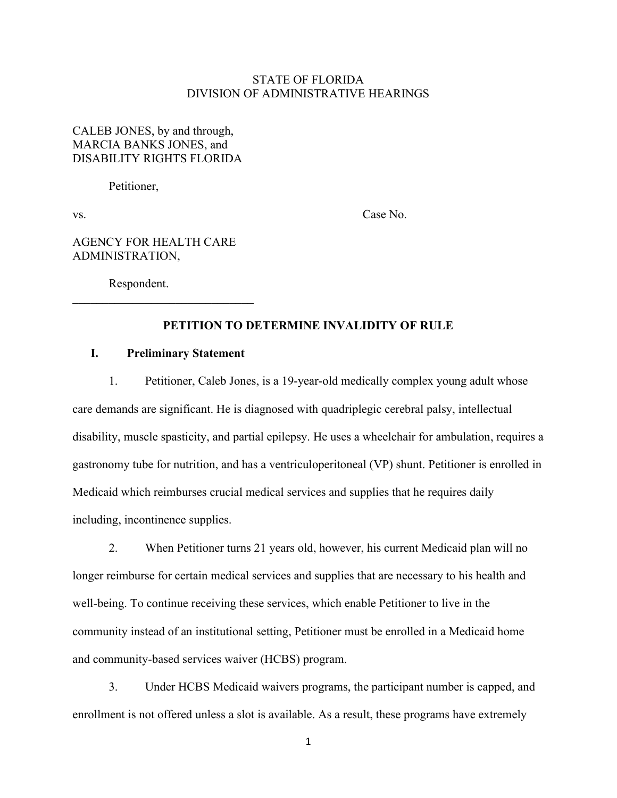# STATE OF FLORIDA DIVISION OF ADMINISTRATIVE HEARINGS

# CALEB JONES, by and through, MARCIA BANKS JONES, and DISABILITY RIGHTS FLORIDA

Petitioner,

vs. Case No.

# AGENCY FOR HEALTH CARE ADMINISTRATION,

Respondent.

# **PETITION TO DETERMINE INVALIDITY OF RULE**

### **I. Preliminary Statement**

1. Petitioner, Caleb Jones, is a 19-year-old medically complex young adult whose care demands are significant. He is diagnosed with quadriplegic cerebral palsy, intellectual disability, muscle spasticity, and partial epilepsy. He uses a wheelchair for ambulation, requires a gastronomy tube for nutrition, and has a ventriculoperitoneal (VP) shunt. Petitioner is enrolled in Medicaid which reimburses crucial medical services and supplies that he requires daily including, incontinence supplies.

2. When Petitioner turns 21 years old, however, his current Medicaid plan will no longer reimburse for certain medical services and supplies that are necessary to his health and well-being. To continue receiving these services, which enable Petitioner to live in the community instead of an institutional setting, Petitioner must be enrolled in a Medicaid home and community-based services waiver (HCBS) program.

3. Under HCBS Medicaid waivers programs, the participant number is capped, and enrollment is not offered unless a slot is available. As a result, these programs have extremely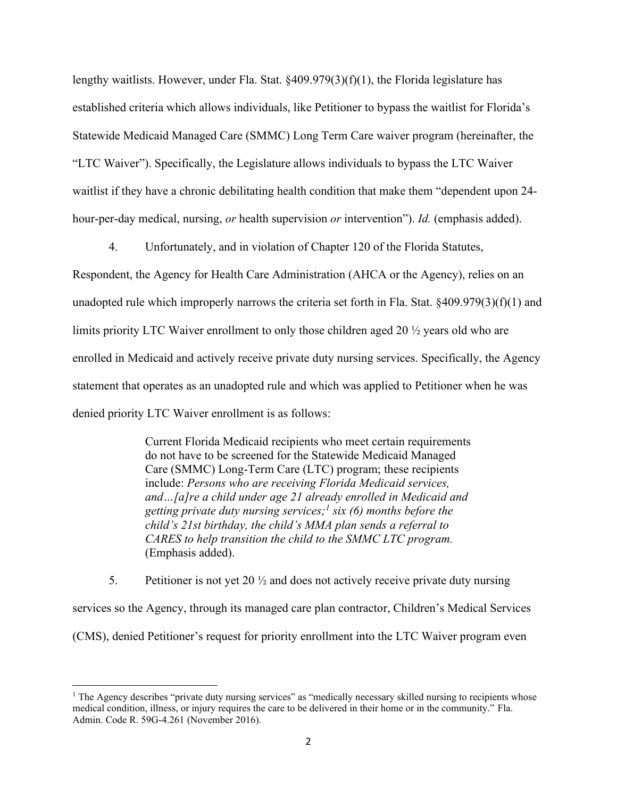lengthy waitlists. However, under Fla. Stat. §409.979(3)(f)(1), the Florida legislature has established criteria which allows individuals, like Petitioner to bypass the waitlist for Florida's Statewide Medicaid Managed Care (SMMC) Long Term Care waiver program (hereinafter, the "LTC Waiver"). Specifically, the Legislature allows individuals to bypass the LTC Waiver waitlist if they have a chronic debilitating health condition that make them "dependent upon 24 hour-per-day medical, nursing, *or* health supervision *or* intervention"). *Id.* (emphasis added).

4. Unfortunately, and in violation of Chapter 120 of the Florida Statutes,

Respondent, the Agency for Health Care Administration (AHCA or the Agency), relies on an unadopted rule which improperly narrows the criteria set forth in Fla. Stat. §409.979(3)(f)(1) and limits priority LTC Waiver enrollment to only those children aged 20 ½ years old who are enrolled in Medicaid and actively receive private duty nursing services. Specifically, the Agency statement that operates as an unadopted rule and which was applied to Petitioner when he was denied priority LTC Waiver enrollment is as follows:

> Current Florida Medicaid recipients who meet certain requirements do not have to be screened for the Statewide Medicaid Managed Care (SMMC) Long-Term Care (LTC) program; these recipients include: *Persons who are receiving Florida Medicaid services, and…[a]re a child under age 21 already enrolled in Medicaid and getting private duty nursing services; 1 six (6) months before the child's 21st birthday, the child's MMA plan sends a referral to CARES to help transition the child to the SMMC LTC program.* (Emphasis added).

5. Petitioner is not yet 20  $\frac{1}{2}$  and does not actively receive private duty nursing

services so the Agency, through its managed care plan contractor, Children's Medical Services (CMS), denied Petitioner's request for priority enrollment into the LTC Waiver program even

<sup>&</sup>lt;sup>1</sup> The Agency describes "private duty nursing services" as "medically necessary skilled nursing to recipients whose medical condition, illness, or injury requires the care to be delivered in their home or in the community." Fla. Admin. Code R. 59G-4.261 (November 2016).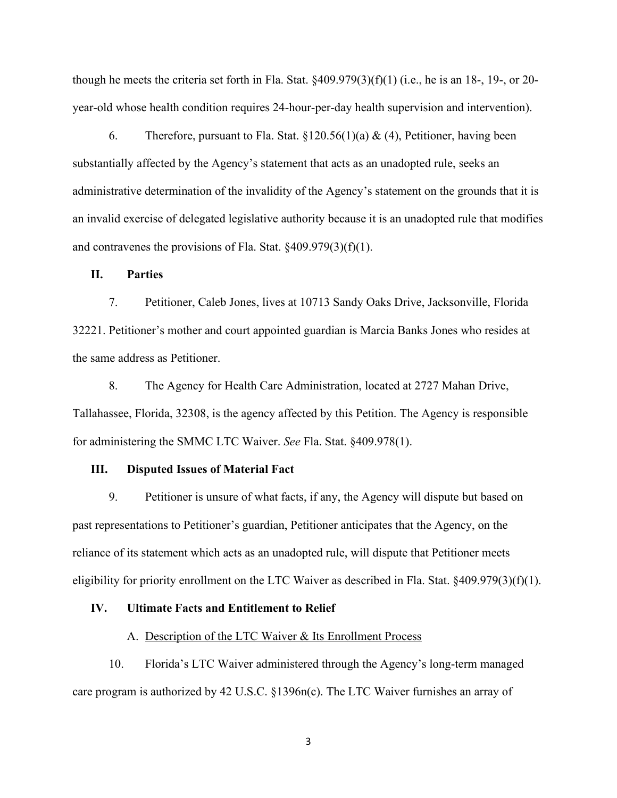though he meets the criteria set forth in Fla. Stat. §409.979(3)(f)(1) (i.e., he is an 18-, 19-, or 20 year-old whose health condition requires 24-hour-per-day health supervision and intervention).

6. Therefore, pursuant to Fla. Stat.  $\S 120.56(1)(a) \& (4)$ , Petitioner, having been substantially affected by the Agency's statement that acts as an unadopted rule, seeks an administrative determination of the invalidity of the Agency's statement on the grounds that it is an invalid exercise of delegated legislative authority because it is an unadopted rule that modifies and contravenes the provisions of Fla. Stat. §409.979(3)(f)(1).

#### **II. Parties**

7. Petitioner, Caleb Jones, lives at 10713 Sandy Oaks Drive, Jacksonville, Florida 32221. Petitioner's mother and court appointed guardian is Marcia Banks Jones who resides at the same address as Petitioner.

8. The Agency for Health Care Administration, located at 2727 Mahan Drive, Tallahassee, Florida, 32308, is the agency affected by this Petition. The Agency is responsible for administering the SMMC LTC Waiver. *See* Fla. Stat. §409.978(1).

#### **III. Disputed Issues of Material Fact**

9. Petitioner is unsure of what facts, if any, the Agency will dispute but based on past representations to Petitioner's guardian, Petitioner anticipates that the Agency, on the reliance of its statement which acts as an unadopted rule, will dispute that Petitioner meets eligibility for priority enrollment on the LTC Waiver as described in Fla. Stat. §409.979(3)(f)(1).

#### **IV. Ultimate Facts and Entitlement to Relief**

#### A. Description of the LTC Waiver & Its Enrollment Process

10. Florida's LTC Waiver administered through the Agency's long-term managed care program is authorized by 42 U.S.C. §1396n(c). The LTC Waiver furnishes an array of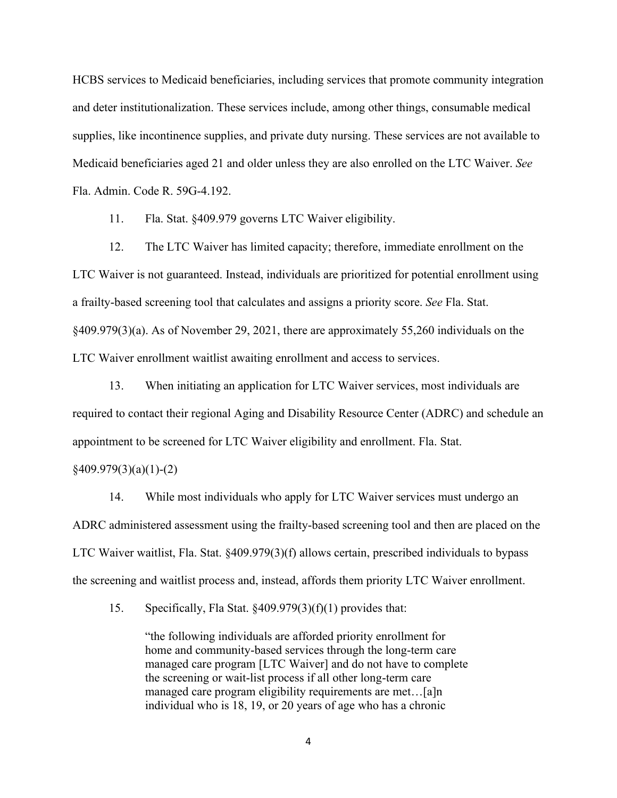HCBS services to Medicaid beneficiaries, including services that promote community integration and deter institutionalization. These services include, among other things, consumable medical supplies, like incontinence supplies, and private duty nursing. These services are not available to Medicaid beneficiaries aged 21 and older unless they are also enrolled on the LTC Waiver. *See*  Fla. Admin. Code R. 59G-4.192.

11. Fla. Stat. §409.979 governs LTC Waiver eligibility.

12. The LTC Waiver has limited capacity; therefore, immediate enrollment on the LTC Waiver is not guaranteed. Instead, individuals are prioritized for potential enrollment using a frailty-based screening tool that calculates and assigns a priority score. *See* Fla. Stat. §409.979(3)(a). As of November 29, 2021, there are approximately 55,260 individuals on the LTC Waiver enrollment waitlist awaiting enrollment and access to services.

13. When initiating an application for LTC Waiver services, most individuals are required to contact their regional Aging and Disability Resource Center (ADRC) and schedule an appointment to be screened for LTC Waiver eligibility and enrollment. Fla. Stat.

§409.979(3)(a)(1)-(2)

14. While most individuals who apply for LTC Waiver services must undergo an ADRC administered assessment using the frailty-based screening tool and then are placed on the LTC Waiver waitlist, Fla. Stat. §409.979(3)(f) allows certain, prescribed individuals to bypass the screening and waitlist process and, instead, affords them priority LTC Waiver enrollment.

15. Specifically, Fla Stat. §409.979(3)(f)(1) provides that:

"the following individuals are afforded priority enrollment for home and community-based services through the long-term care managed care program [LTC Waiver] and do not have to complete the screening or wait-list process if all other long-term care managed care program eligibility requirements are met…[a]n individual who is 18, 19, or 20 years of age who has a chronic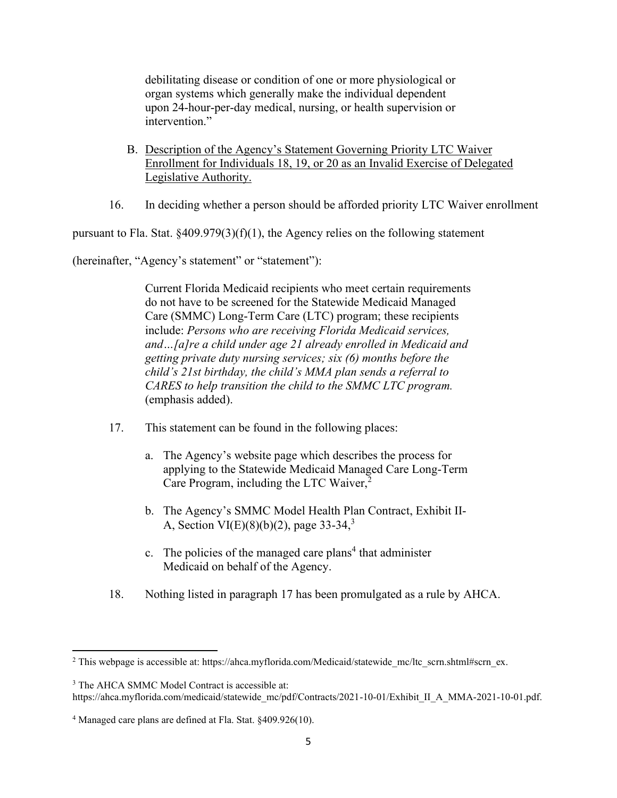debilitating disease or condition of one or more physiological or organ systems which generally make the individual dependent upon 24-hour-per-day medical, nursing, or health supervision or intervention."

- B. Description of the Agency's Statement Governing Priority LTC Waiver Enrollment for Individuals 18, 19, or 20 as an Invalid Exercise of Delegated Legislative Authority.
- 16. In deciding whether a person should be afforded priority LTC Waiver enrollment

pursuant to Fla. Stat.  $\S 409.979(3)(f)(1)$ , the Agency relies on the following statement

(hereinafter, "Agency's statement" or "statement"):

Current Florida Medicaid recipients who meet certain requirements do not have to be screened for the Statewide Medicaid Managed Care (SMMC) Long-Term Care (LTC) program; these recipients include: *Persons who are receiving Florida Medicaid services, and…[a]re a child under age 21 already enrolled in Medicaid and getting private duty nursing services; six (6) months before the child's 21st birthday, the child's MMA plan sends a referral to CARES to help transition the child to the SMMC LTC program.* (emphasis added).

- 17. This statement can be found in the following places:
	- a. The Agency's website page which describes the process for applying to the Statewide Medicaid Managed Care Long-Term Care Program, including the LTC Waiver, 2
	- b. The Agency's SMMC Model Health Plan Contract, Exhibit II-A, Section VI(E)(8)(b)(2), page 33-34,<sup>3</sup>
	- c. The policies of the managed care plans<sup>4</sup> that administer Medicaid on behalf of the Agency.
- 18. Nothing listed in paragraph 17 has been promulgated as a rule by AHCA.

<sup>&</sup>lt;sup>2</sup> This webpage is accessible at: https://ahca.myflorida.com/Medicaid/statewide\_mc/ltc\_scrn.shtml#scrn\_ex.

<sup>&</sup>lt;sup>3</sup> The AHCA SMMC Model Contract is accessible at: https://ahca.myflorida.com/medicaid/statewide\_mc/pdf/Contracts/2021-10-01/Exhibit\_II\_A\_MMA-2021-10-01.pdf.

<sup>4</sup> Managed care plans are defined at Fla. Stat. §409.926(10).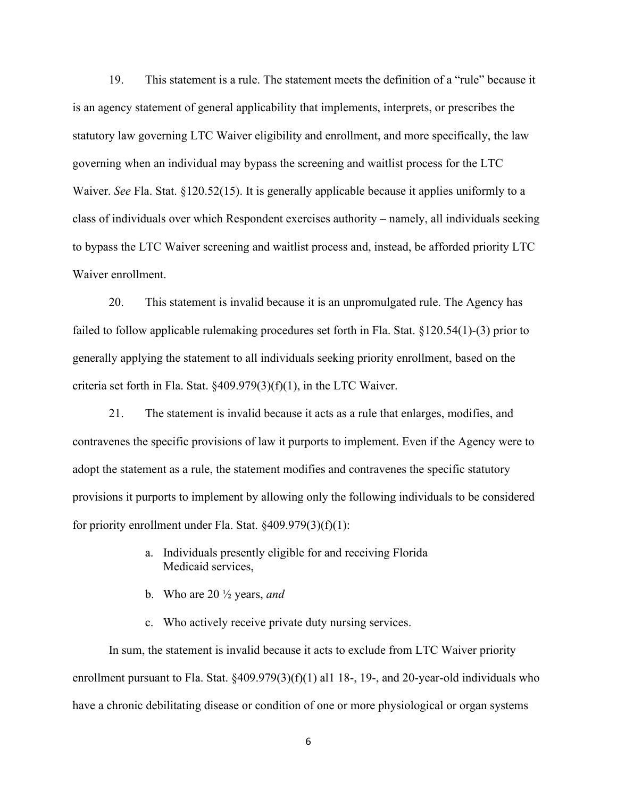19. This statement is a rule. The statement meets the definition of a "rule" because it is an agency statement of general applicability that implements, interprets, or prescribes the statutory law governing LTC Waiver eligibility and enrollment, and more specifically, the law governing when an individual may bypass the screening and waitlist process for the LTC Waiver. *See* Fla. Stat. §120.52(15). It is generally applicable because it applies uniformly to a class of individuals over which Respondent exercises authority – namely, all individuals seeking to bypass the LTC Waiver screening and waitlist process and, instead, be afforded priority LTC Waiver enrollment.

20. This statement is invalid because it is an unpromulgated rule. The Agency has failed to follow applicable rulemaking procedures set forth in Fla. Stat. §120.54(1)-(3) prior to generally applying the statement to all individuals seeking priority enrollment, based on the criteria set forth in Fla. Stat. §409.979(3)(f)(1), in the LTC Waiver.

21. The statement is invalid because it acts as a rule that enlarges, modifies, and contravenes the specific provisions of law it purports to implement. Even if the Agency were to adopt the statement as a rule, the statement modifies and contravenes the specific statutory provisions it purports to implement by allowing only the following individuals to be considered for priority enrollment under Fla. Stat. §409.979(3)(f)(1):

- a. Individuals presently eligible for and receiving Florida Medicaid services,
- b. Who are 20 ½ years, *and*
- c. Who actively receive private duty nursing services.

In sum, the statement is invalid because it acts to exclude from LTC Waiver priority enrollment pursuant to Fla. Stat. §409.979(3)(f)(1) al1 18-, 19-, and 20-year-old individuals who have a chronic debilitating disease or condition of one or more physiological or organ systems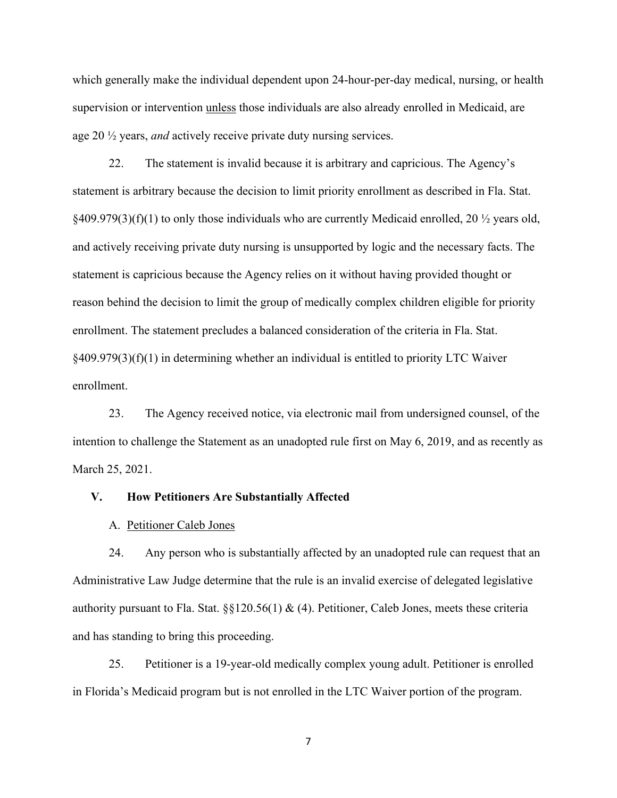which generally make the individual dependent upon 24-hour-per-day medical, nursing, or health supervision or intervention unless those individuals are also already enrolled in Medicaid, are age 20 ½ years, *and* actively receive private duty nursing services.

22. The statement is invalid because it is arbitrary and capricious. The Agency's statement is arbitrary because the decision to limit priority enrollment as described in Fla. Stat.  $§409.979(3)(f)(1)$  to only those individuals who are currently Medicaid enrolled, 20  $\frac{1}{2}$  years old, and actively receiving private duty nursing is unsupported by logic and the necessary facts. The statement is capricious because the Agency relies on it without having provided thought or reason behind the decision to limit the group of medically complex children eligible for priority enrollment. The statement precludes a balanced consideration of the criteria in Fla. Stat.  $§409.979(3)(f)(1)$  in determining whether an individual is entitled to priority LTC Waiver enrollment.

23. The Agency received notice, via electronic mail from undersigned counsel, of the intention to challenge the Statement as an unadopted rule first on May 6, 2019, and as recently as March 25, 2021.

#### **V. How Petitioners Are Substantially Affected**

A. Petitioner Caleb Jones

24. Any person who is substantially affected by an unadopted rule can request that an Administrative Law Judge determine that the rule is an invalid exercise of delegated legislative authority pursuant to Fla. Stat.  $\S$ [120.56(1) & (4). Petitioner, Caleb Jones, meets these criteria and has standing to bring this proceeding.

25. Petitioner is a 19-year-old medically complex young adult. Petitioner is enrolled in Florida's Medicaid program but is not enrolled in the LTC Waiver portion of the program.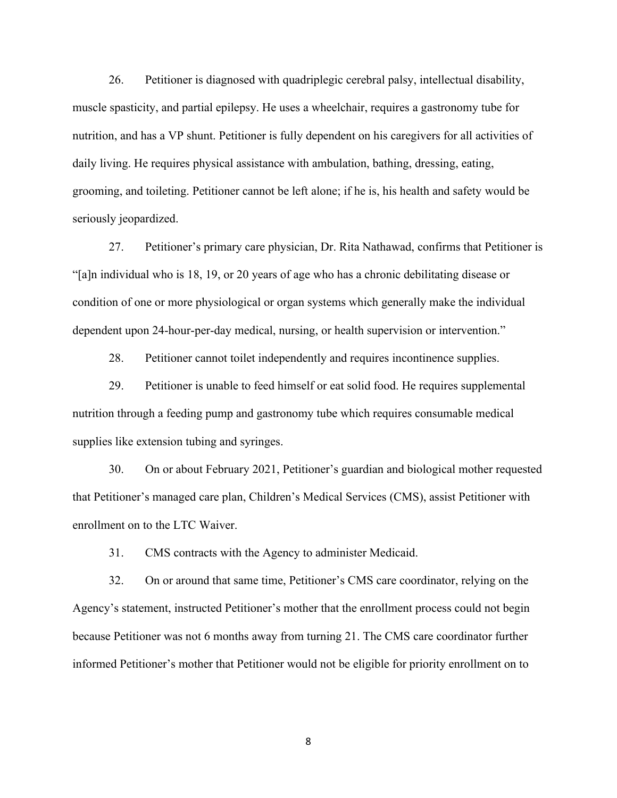26. Petitioner is diagnosed with quadriplegic cerebral palsy, intellectual disability, muscle spasticity, and partial epilepsy. He uses a wheelchair, requires a gastronomy tube for nutrition, and has a VP shunt. Petitioner is fully dependent on his caregivers for all activities of daily living. He requires physical assistance with ambulation, bathing, dressing, eating, grooming, and toileting. Petitioner cannot be left alone; if he is, his health and safety would be seriously jeopardized.

27. Petitioner's primary care physician, Dr. Rita Nathawad, confirms that Petitioner is "[a]n individual who is 18, 19, or 20 years of age who has a chronic debilitating disease or condition of one or more physiological or organ systems which generally make the individual dependent upon 24-hour-per-day medical, nursing, or health supervision or intervention."

28. Petitioner cannot toilet independently and requires incontinence supplies.

29. Petitioner is unable to feed himself or eat solid food. He requires supplemental nutrition through a feeding pump and gastronomy tube which requires consumable medical supplies like extension tubing and syringes.

30. On or about February 2021, Petitioner's guardian and biological mother requested that Petitioner's managed care plan, Children's Medical Services (CMS), assist Petitioner with enrollment on to the LTC Waiver.

31. CMS contracts with the Agency to administer Medicaid.

32. On or around that same time, Petitioner's CMS care coordinator, relying on the Agency's statement, instructed Petitioner's mother that the enrollment process could not begin because Petitioner was not 6 months away from turning 21. The CMS care coordinator further informed Petitioner's mother that Petitioner would not be eligible for priority enrollment on to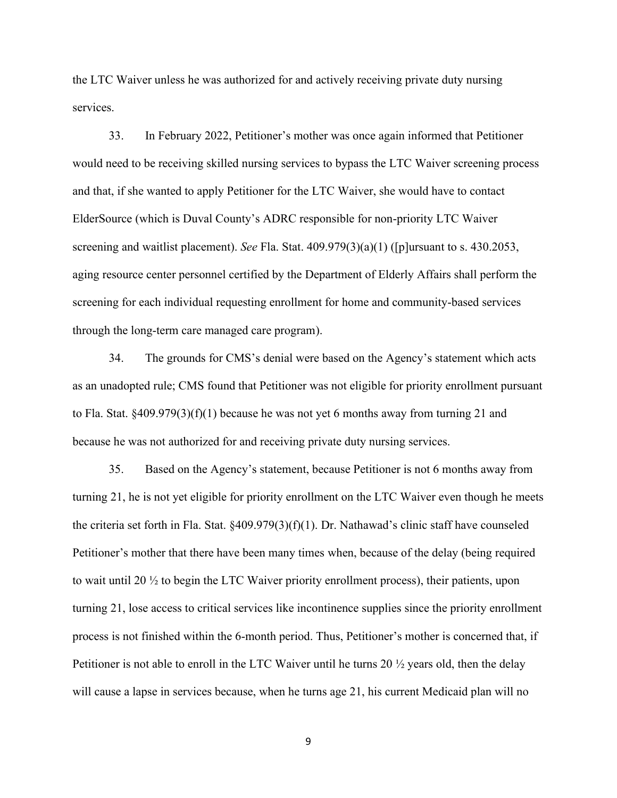the LTC Waiver unless he was authorized for and actively receiving private duty nursing services.

33. In February 2022, Petitioner's mother was once again informed that Petitioner would need to be receiving skilled nursing services to bypass the LTC Waiver screening process and that, if she wanted to apply Petitioner for the LTC Waiver, she would have to contact ElderSource (which is Duval County's ADRC responsible for non-priority LTC Waiver screening and waitlist placement). *See* Fla. Stat. 409.979(3)(a)(1) ([p]ursuant to s. 430.2053, aging resource center personnel certified by the Department of Elderly Affairs shall perform the screening for each individual requesting enrollment for home and community-based services through the long-term care managed care program).

34. The grounds for CMS's denial were based on the Agency's statement which acts as an unadopted rule; CMS found that Petitioner was not eligible for priority enrollment pursuant to Fla. Stat.  $\S 409.979(3)(f)(1)$  because he was not yet 6 months away from turning 21 and because he was not authorized for and receiving private duty nursing services.

35. Based on the Agency's statement, because Petitioner is not 6 months away from turning 21, he is not yet eligible for priority enrollment on the LTC Waiver even though he meets the criteria set forth in Fla. Stat. §409.979(3)(f)(1). Dr. Nathawad's clinic staff have counseled Petitioner's mother that there have been many times when, because of the delay (being required to wait until 20 ½ to begin the LTC Waiver priority enrollment process), their patients, upon turning 21, lose access to critical services like incontinence supplies since the priority enrollment process is not finished within the 6-month period. Thus, Petitioner's mother is concerned that, if Petitioner is not able to enroll in the LTC Waiver until he turns 20 ½ years old, then the delay will cause a lapse in services because, when he turns age 21, his current Medicaid plan will no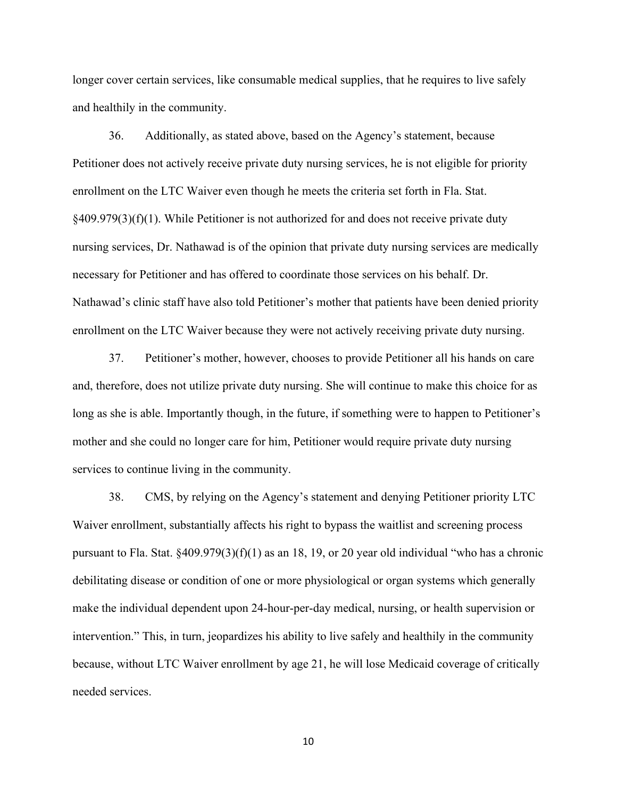longer cover certain services, like consumable medical supplies, that he requires to live safely and healthily in the community.

36. Additionally, as stated above, based on the Agency's statement, because Petitioner does not actively receive private duty nursing services, he is not eligible for priority enrollment on the LTC Waiver even though he meets the criteria set forth in Fla. Stat.  $§409.979(3)(f)(1)$ . While Petitioner is not authorized for and does not receive private duty nursing services, Dr. Nathawad is of the opinion that private duty nursing services are medically necessary for Petitioner and has offered to coordinate those services on his behalf. Dr. Nathawad's clinic staff have also told Petitioner's mother that patients have been denied priority enrollment on the LTC Waiver because they were not actively receiving private duty nursing.

37. Petitioner's mother, however, chooses to provide Petitioner all his hands on care and, therefore, does not utilize private duty nursing. She will continue to make this choice for as long as she is able. Importantly though, in the future, if something were to happen to Petitioner's mother and she could no longer care for him, Petitioner would require private duty nursing services to continue living in the community.

38. CMS, by relying on the Agency's statement and denying Petitioner priority LTC Waiver enrollment, substantially affects his right to bypass the waitlist and screening process pursuant to Fla. Stat.  $\frac{2409.979(3)(f)(1)}{4}$  as an 18, 19, or 20 year old individual "who has a chronic debilitating disease or condition of one or more physiological or organ systems which generally make the individual dependent upon 24-hour-per-day medical, nursing, or health supervision or intervention." This, in turn, jeopardizes his ability to live safely and healthily in the community because, without LTC Waiver enrollment by age 21, he will lose Medicaid coverage of critically needed services.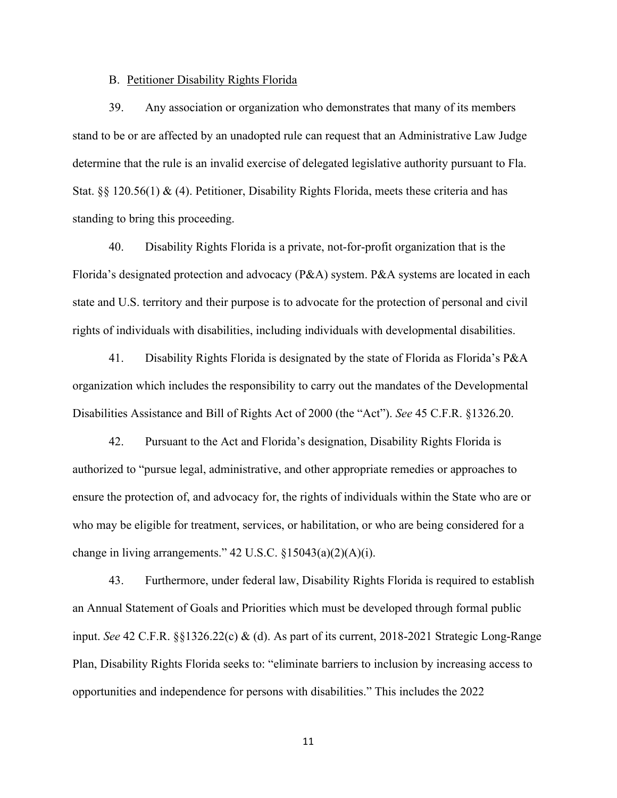#### B. Petitioner Disability Rights Florida

39. Any association or organization who demonstrates that many of its members stand to be or are affected by an unadopted rule can request that an Administrative Law Judge determine that the rule is an invalid exercise of delegated legislative authority pursuant to Fla. Stat. §§ 120.56(1) & (4). Petitioner, Disability Rights Florida, meets these criteria and has standing to bring this proceeding.

40. Disability Rights Florida is a private, not-for-profit organization that is the Florida's designated protection and advocacy (P&A) system. P&A systems are located in each state and U.S. territory and their purpose is to advocate for the protection of personal and civil rights of individuals with disabilities, including individuals with developmental disabilities.

41. Disability Rights Florida is designated by the state of Florida as Florida's P&A organization which includes the responsibility to carry out the mandates of the Developmental Disabilities Assistance and Bill of Rights Act of 2000 (the "Act"). *See* 45 C.F.R. §1326.20.

42. Pursuant to the Act and Florida's designation, Disability Rights Florida is authorized to "pursue legal, administrative, and other appropriate remedies or approaches to ensure the protection of, and advocacy for, the rights of individuals within the State who are or who may be eligible for treatment, services, or habilitation, or who are being considered for a change in living arrangements." 42 U.S.C. §15043(a)(2)(A)(i).

43. Furthermore, under federal law, Disability Rights Florida is required to establish an Annual Statement of Goals and Priorities which must be developed through formal public input. *See* 42 C.F.R. §§1326.22(c) & (d). As part of its current, 2018-2021 Strategic Long-Range Plan, Disability Rights Florida seeks to: "eliminate barriers to inclusion by increasing access to opportunities and independence for persons with disabilities." This includes the 2022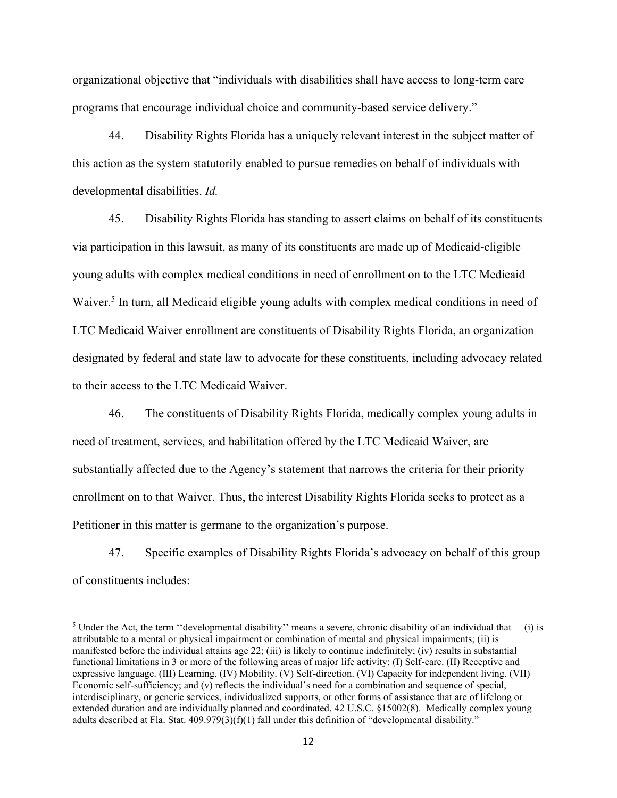organizational objective that "individuals with disabilities shall have access to long-term care programs that encourage individual choice and community-based service delivery."

44. Disability Rights Florida has a uniquely relevant interest in the subject matter of this action as the system statutorily enabled to pursue remedies on behalf of individuals with developmental disabilities. *Id.* 

45. Disability Rights Florida has standing to assert claims on behalf of its constituents via participation in this lawsuit, as many of its constituents are made up of Medicaid-eligible young adults with complex medical conditions in need of enrollment on to the LTC Medicaid Waiver.<sup>5</sup> In turn, all Medicaid eligible young adults with complex medical conditions in need of LTC Medicaid Waiver enrollment are constituents of Disability Rights Florida, an organization designated by federal and state law to advocate for these constituents, including advocacy related to their access to the LTC Medicaid Waiver.

46. The constituents of Disability Rights Florida, medically complex young adults in need of treatment, services, and habilitation offered by the LTC Medicaid Waiver, are substantially affected due to the Agency's statement that narrows the criteria for their priority enrollment on to that Waiver. Thus, the interest Disability Rights Florida seeks to protect as a Petitioner in this matter is germane to the organization's purpose.

47. Specific examples of Disability Rights Florida's advocacy on behalf of this group of constituents includes:

 $5$  Under the Act, the term "developmental disability" means a severe, chronic disability of an individual that— (i) is attributable to a mental or physical impairment or combination of mental and physical impairments; (ii) is manifested before the individual attains age 22; (iii) is likely to continue indefinitely; (iv) results in substantial functional limitations in 3 or more of the following areas of major life activity: (I) Self-care. (II) Receptive and expressive language. (III) Learning. (IV) Mobility. (V) Self-direction. (VI) Capacity for independent living. (VII) Economic self-sufficiency; and (v) reflects the individual's need for a combination and sequence of special, interdisciplinary, or generic services, individualized supports, or other forms of assistance that are of lifelong or extended duration and are individually planned and coordinated. 42 U.S.C. §15002(8). Medically complex young adults described at Fla. Stat. 409.979(3)(f)(1) fall under this definition of "developmental disability."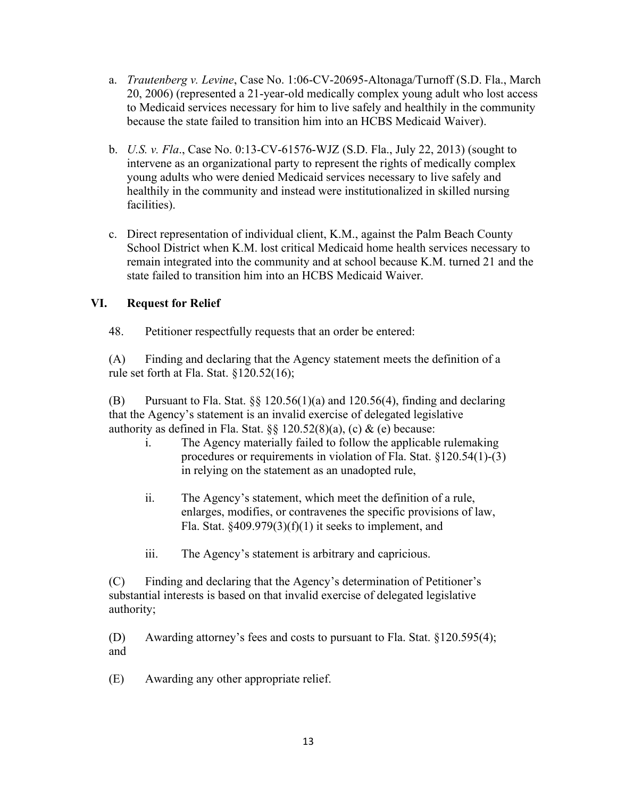- a. *Trautenberg v. Levine*, Case No. 1:06-CV-20695-Altonaga/Turnoff (S.D. Fla., March 20, 2006) (represented a 21-year-old medically complex young adult who lost access to Medicaid services necessary for him to live safely and healthily in the community because the state failed to transition him into an HCBS Medicaid Waiver).
- b. *U.S. v. Fla*., Case No. 0:13-CV-61576-WJZ (S.D. Fla., July 22, 2013) (sought to intervene as an organizational party to represent the rights of medically complex young adults who were denied Medicaid services necessary to live safely and healthily in the community and instead were institutionalized in skilled nursing facilities).
- c. Direct representation of individual client, K.M., against the Palm Beach County School District when K.M. lost critical Medicaid home health services necessary to remain integrated into the community and at school because K.M. turned 21 and the state failed to transition him into an HCBS Medicaid Waiver.

# **VI. Request for Relief**

48. Petitioner respectfully requests that an order be entered:

(A) Finding and declaring that the Agency statement meets the definition of a rule set forth at Fla. Stat. §120.52(16);

(B) Pursuant to Fla. Stat.  $\S$  120.56(1)(a) and 120.56(4), finding and declaring that the Agency's statement is an invalid exercise of delegated legislative authority as defined in Fla. Stat.  $\S$  120.52(8)(a), (c) & (e) because:

- i. The Agency materially failed to follow the applicable rulemaking procedures or requirements in violation of Fla. Stat. §120.54(1)-(3) in relying on the statement as an unadopted rule,
- ii. The Agency's statement, which meet the definition of a rule, enlarges, modifies, or contravenes the specific provisions of law, Fla. Stat.  $\S 409.979(3)(f)(1)$  it seeks to implement, and
- iii. The Agency's statement is arbitrary and capricious.

(C) Finding and declaring that the Agency's determination of Petitioner's substantial interests is based on that invalid exercise of delegated legislative authority;

(D) Awarding attorney's fees and costs to pursuant to Fla. Stat. §120.595(4); and

(E) Awarding any other appropriate relief.